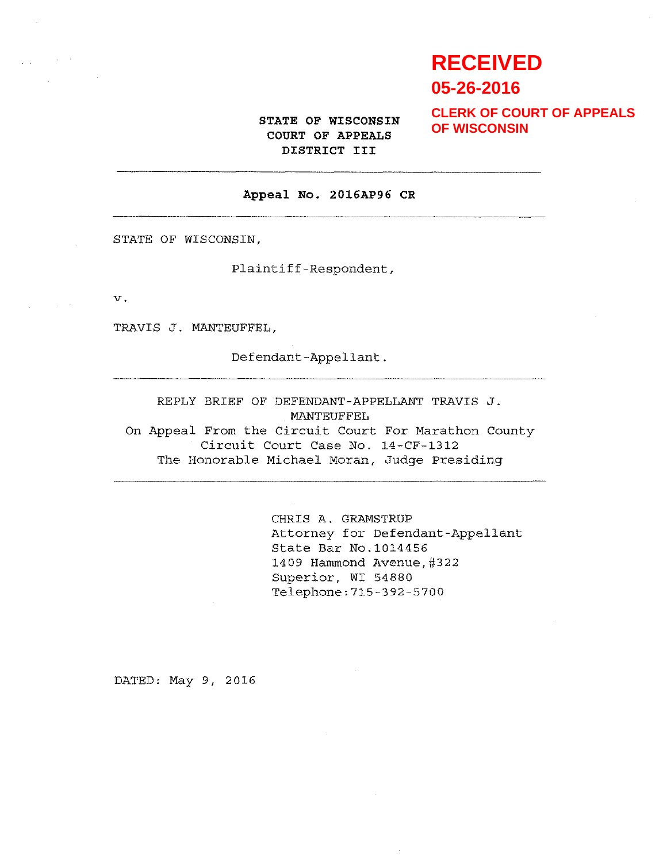# **RECEIVED 05-26-2016**

STATE OF WISCONSIN COURT OF APPEALS DISTRICT III

**CLERK OF COURT OF APPEALS OF WISCONSIN**

#### Appeal No. 2016AP96 CR

STATE OF WISCONSIN,

Plaintiff-Respondent,

V.

TRAVIS J. MANTEUFFEL,

Defendant-Appellant.

REPLY BRIEF OF DEFENDANT-APPELLANT TRAVIS J. MANTEUFFEL On Appeal From the Circuit Court For Marathon County Circuit Court Case No. 14-CF-1312 The Honorable Michael Moran, Judge Presiding

> CHRIS A. GRANSTRUP Attorney for Defendant-Appellant State Bar No.1014456 1409 Hammond Avenue,#322 Superior, WI 54880 Telephone: 715-392-5700

DATED: May 9, 2016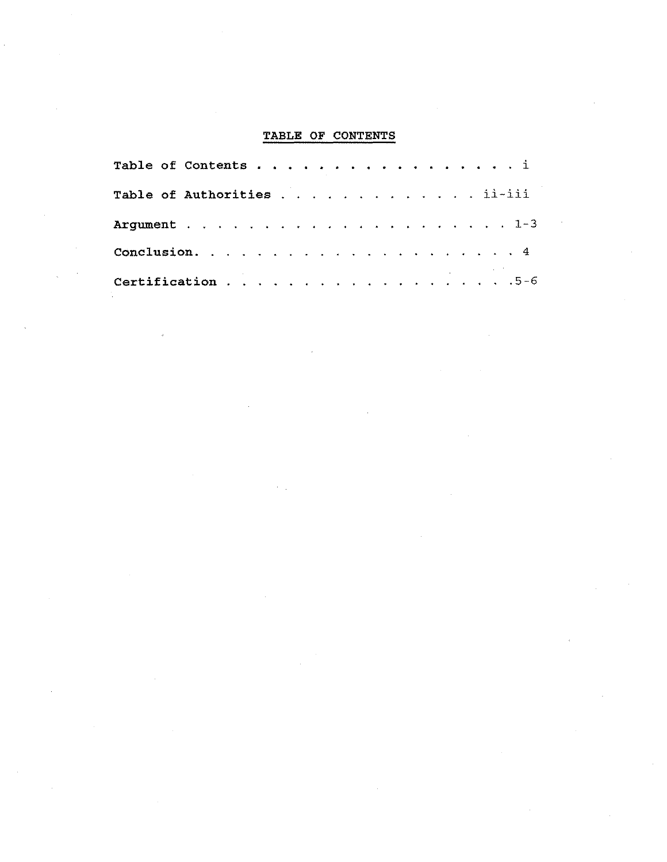| TABLE OF CONTENTS           |
|-----------------------------|
| Table of Contents i         |
| Table of Authorities ii-iii |
|                             |
|                             |
| Certification 5-6           |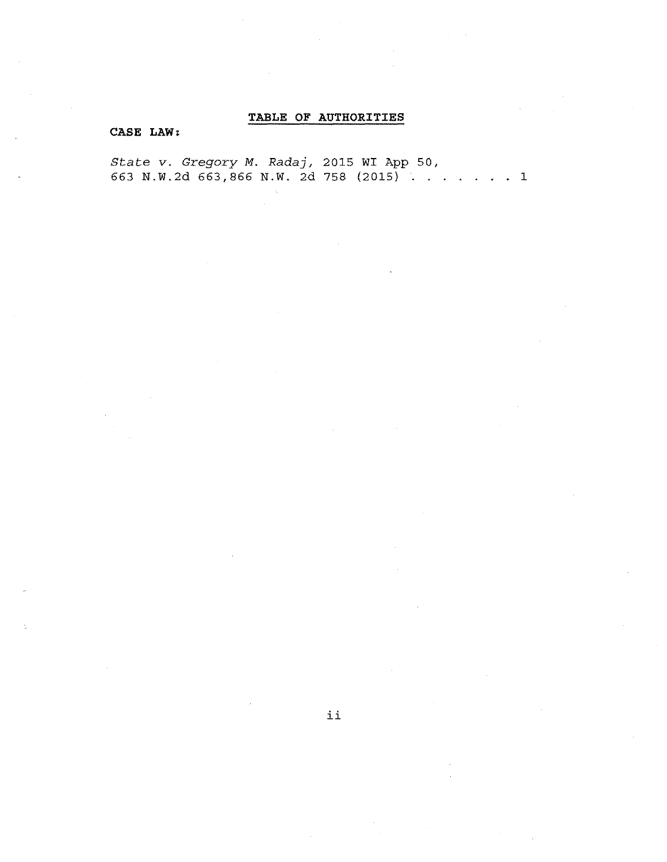## TABLE OF AUTHORITIES

### CASE LAW:

State v. Gregory M. Radaj, 2015 WI App 50, 663 N.W.2d 663,866 N.W. 2d 758 (2015) .......1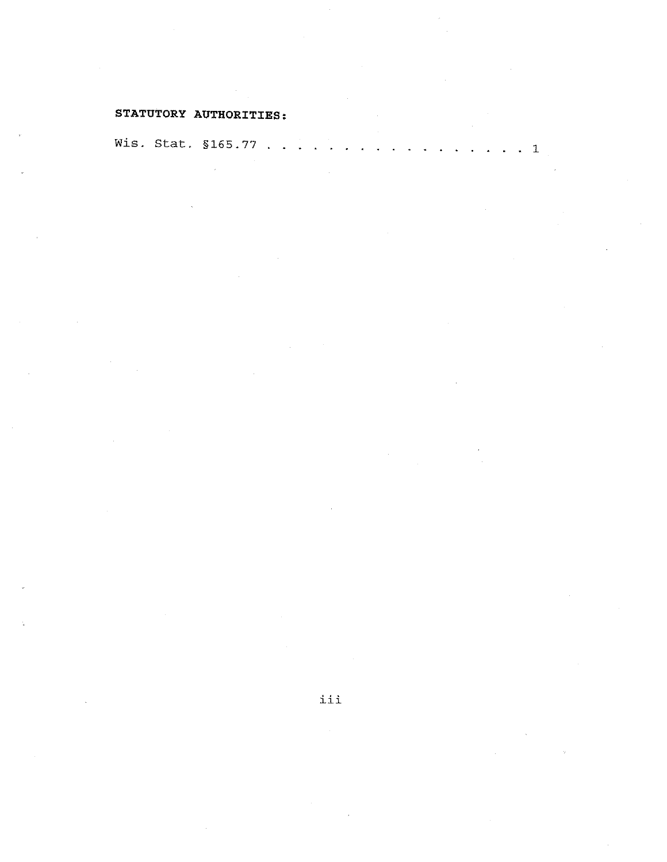## STATUTORY AUTHORITIES:

Wis. Stat. §165.77 . . . . . . . . . . . . . . . . . 1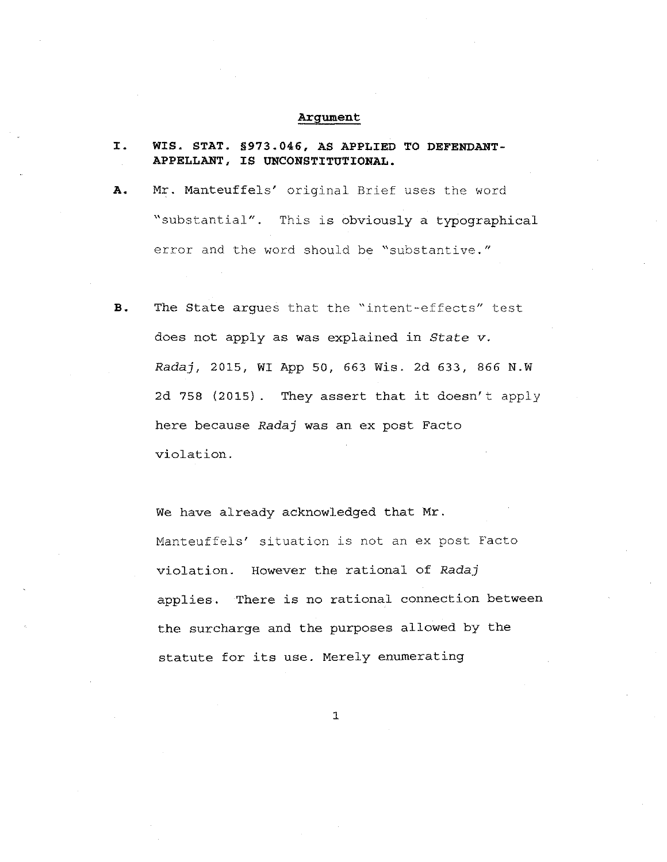#### Argument

| I.<br>$\sim 10^{-1}$ | WIS. STAT. §973.046, AS APPLIED TO DEFENDANT-<br>APPELLANT, IS UNCONSTITUTIONAL. |
|----------------------|----------------------------------------------------------------------------------|
| А.                   | Mr. Manteuffels' original Brief uses the word                                    |
|                      | "substantial". This is obviously a typographical                                 |
|                      | error and the word should be "substantive."                                      |

B. The State argues that the "intent-effects" test does not apply as was explained in State v. *Radaj,* 2015, WI App 50, 663 Wis. 2d 633, 866 N.W 2d 758 (2015). They assert that it doesn't apply here because *Radaj* was an ex post Facto violation.

We have already acknowledged that Mr. Manteuffels' situation is not an ex post Facto violation. However the rational of *Radaj*  applies. There is no rational connection between the surcharge and the purposes allowed by the statute for its use. Merely enumerating

1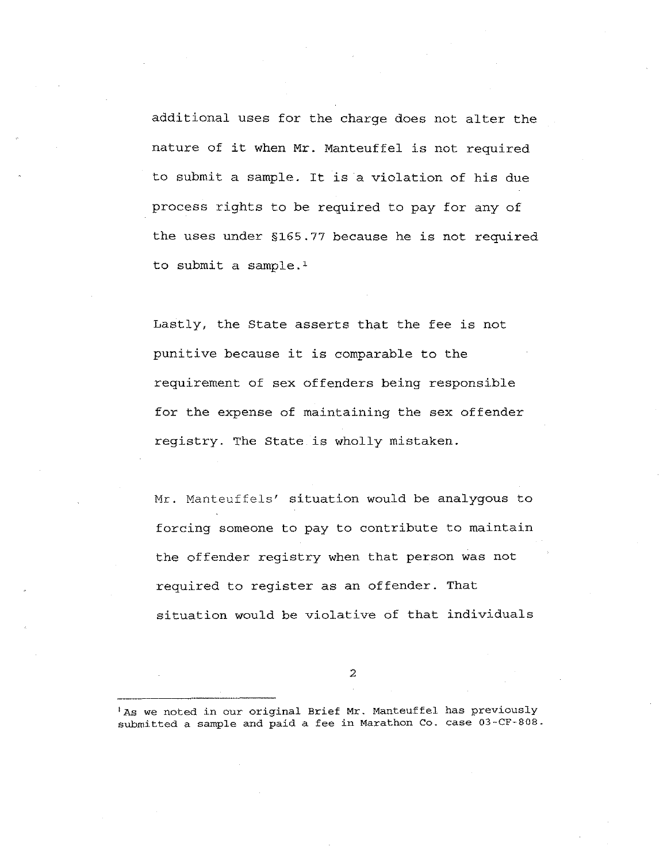additional uses for the charge does not alter the nature of it when Mr. Manteuffel is not required to submit a sample. It is a violation of his due process rights to be required to pay for any of the uses under §165.77 because he is not required to submit a sample.'

Lastly, the State asserts that the fee is not punitive because it is comparable to the requirement of sex offenders being responsible for the expense of maintaining the sex offender registry. The State is wholly mistaken.

Mr. Manteuffels' situation would be analygous to forcing someone to pay to contribute to maintain the offender registry when that person was not required to register as an offender. That situation would be violative of that individuals

2

'As we noted in our original Brief Mr. Manteuffel has previously submitted a sample and paid a fee in Marathon Co. case 03-CF-808.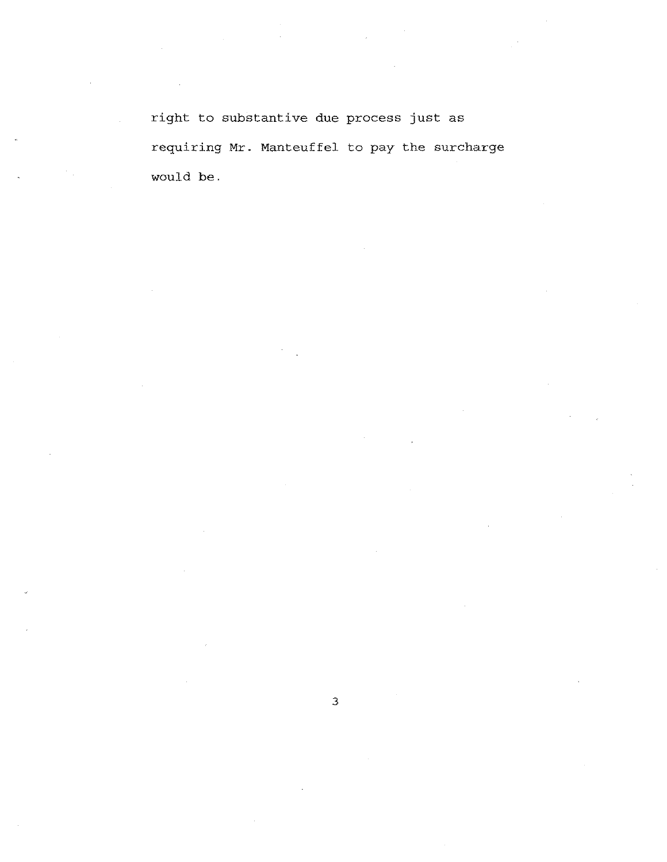right to substantive due process just as requiring Mr. Manteuffel to pay the surcharge would be.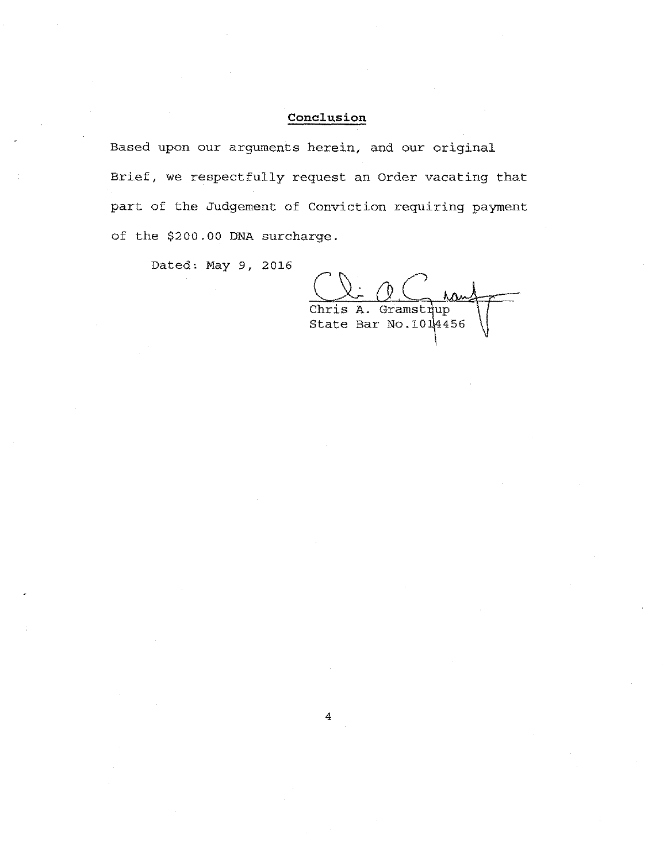## **Conclusion**

Based upon our arguments herein, and our original Brief, we respectfully request an Order vacating that part of the Judgement of Conviction requiring payment of the \$200.00 DNA surcharge.

 $\overline{4}$ 

Dated: May 9, 2016

Chris A. Gramstrup State Bar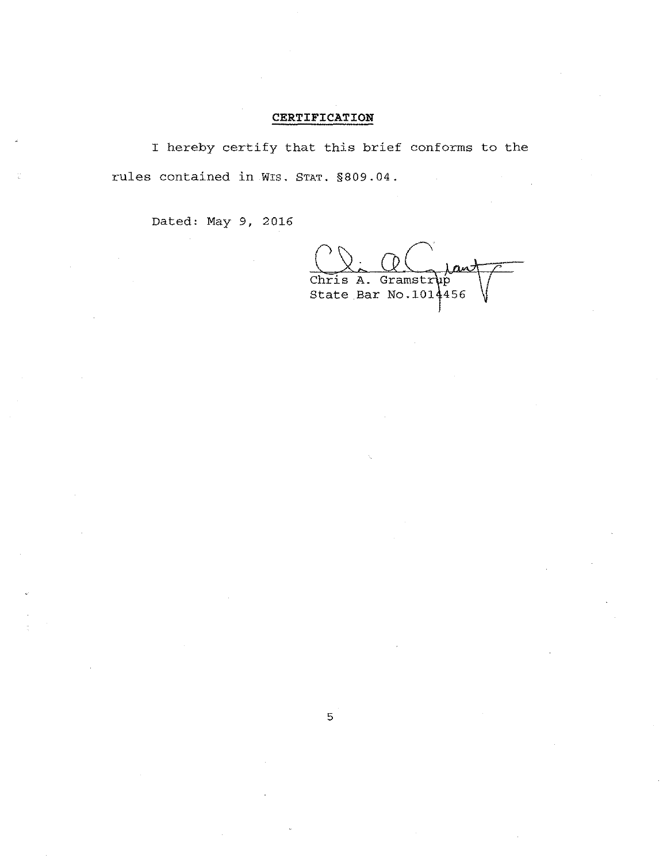## CERTIFICATION

I hereby certify that this brief conforms to the rules contained in Wis. STAT. §809.04.

5

Dated: May 9, 2016

Chris A. Gramstrup State Bar No.101 $\frac{1}{4}$ 456